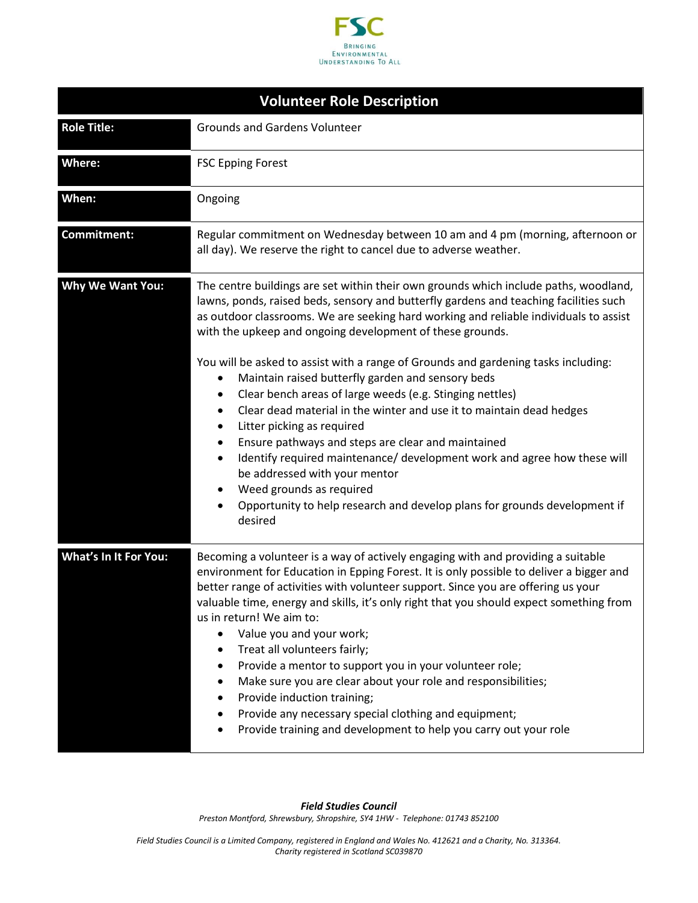

| <b>Volunteer Role Description</b> |                                                                                                                                                                                                                                                                                                                                                                                                                                                                                                                                                                                                                                                                                                                                                                                                                                                                                                                                                                        |  |
|-----------------------------------|------------------------------------------------------------------------------------------------------------------------------------------------------------------------------------------------------------------------------------------------------------------------------------------------------------------------------------------------------------------------------------------------------------------------------------------------------------------------------------------------------------------------------------------------------------------------------------------------------------------------------------------------------------------------------------------------------------------------------------------------------------------------------------------------------------------------------------------------------------------------------------------------------------------------------------------------------------------------|--|
| <b>Role Title:</b>                | <b>Grounds and Gardens Volunteer</b>                                                                                                                                                                                                                                                                                                                                                                                                                                                                                                                                                                                                                                                                                                                                                                                                                                                                                                                                   |  |
| Where:                            | <b>FSC Epping Forest</b>                                                                                                                                                                                                                                                                                                                                                                                                                                                                                                                                                                                                                                                                                                                                                                                                                                                                                                                                               |  |
| When:                             | Ongoing                                                                                                                                                                                                                                                                                                                                                                                                                                                                                                                                                                                                                                                                                                                                                                                                                                                                                                                                                                |  |
| Commitment:                       | Regular commitment on Wednesday between 10 am and 4 pm (morning, afternoon or<br>all day). We reserve the right to cancel due to adverse weather.                                                                                                                                                                                                                                                                                                                                                                                                                                                                                                                                                                                                                                                                                                                                                                                                                      |  |
| Why We Want You:                  | The centre buildings are set within their own grounds which include paths, woodland,<br>lawns, ponds, raised beds, sensory and butterfly gardens and teaching facilities such<br>as outdoor classrooms. We are seeking hard working and reliable individuals to assist<br>with the upkeep and ongoing development of these grounds.<br>You will be asked to assist with a range of Grounds and gardening tasks including:<br>Maintain raised butterfly garden and sensory beds<br>$\bullet$<br>Clear bench areas of large weeds (e.g. Stinging nettles)<br>$\bullet$<br>Clear dead material in the winter and use it to maintain dead hedges<br>Litter picking as required<br>Ensure pathways and steps are clear and maintained<br>Identify required maintenance/ development work and agree how these will<br>٠<br>be addressed with your mentor<br>Weed grounds as required<br>Opportunity to help research and develop plans for grounds development if<br>desired |  |
| <b>What's In It For You:</b>      | Becoming a volunteer is a way of actively engaging with and providing a suitable<br>environment for Education in Epping Forest. It is only possible to deliver a bigger and<br>better range of activities with volunteer support. Since you are offering us your<br>valuable time, energy and skills, it's only right that you should expect something from<br>us in return! We aim to:<br>Value you and your work;<br>$\bullet$<br>Treat all volunteers fairly;<br>Provide a mentor to support you in your volunteer role;<br>Make sure you are clear about your role and responsibilities;<br>Provide induction training;<br>Provide any necessary special clothing and equipment;<br>Provide training and development to help you carry out your role                                                                                                                                                                                                               |  |